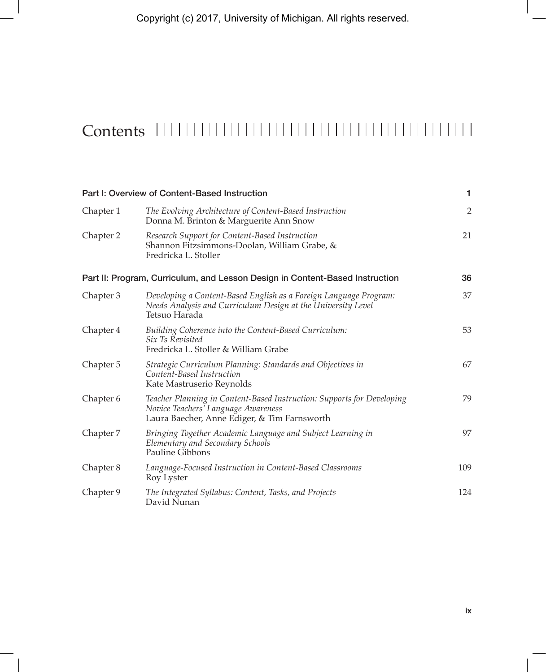## Contents

| Part I: Overview of Content-Based Instruction |                                                                                                                                                               | 1              |
|-----------------------------------------------|---------------------------------------------------------------------------------------------------------------------------------------------------------------|----------------|
| Chapter 1                                     | The Evolving Architecture of Content-Based Instruction<br>Donna M. Brinton & Marguerite Ann Snow                                                              | $\overline{2}$ |
| Chapter 2                                     | Research Support for Content-Based Instruction<br>Shannon Fitzsimmons-Doolan, William Grabe, &<br>Fredricka L. Stoller                                        | 21             |
|                                               | Part II: Program, Curriculum, and Lesson Design in Content-Based Instruction                                                                                  | 36             |
| Chapter 3                                     | Developing a Content-Based English as a Foreign Language Program:<br>Needs Analysis and Curriculum Design at the University Level<br>Tetsuo Harada            | 37             |
| Chapter 4                                     | Building Coherence into the Content-Based Curriculum:<br><i>Six Ts Revisited</i><br>Fredricka L. Stoller & William Grabe                                      | 53             |
| Chapter 5                                     | Strategic Curriculum Planning: Standards and Objectives in<br>Content-Based Instruction<br>Kate Mastruserio Reynolds                                          | 67             |
| Chapter 6                                     | Teacher Planning in Content-Based Instruction: Supports for Developing<br>Novice Teachers' Language Awareness<br>Laura Baecher, Anne Ediger, & Tim Farnsworth | 79             |
| Chapter 7                                     | Bringing Together Academic Language and Subject Learning in<br>Elementary and Secondary Schools<br><b>Pauline Gibbons</b>                                     | 97             |
| Chapter 8                                     | Language-Focused Instruction in Content-Based Classrooms<br>Roy Lyster                                                                                        | 109            |
| Chapter 9                                     | The Integrated Syllabus: Content, Tasks, and Projects<br>David Nunan                                                                                          | 124            |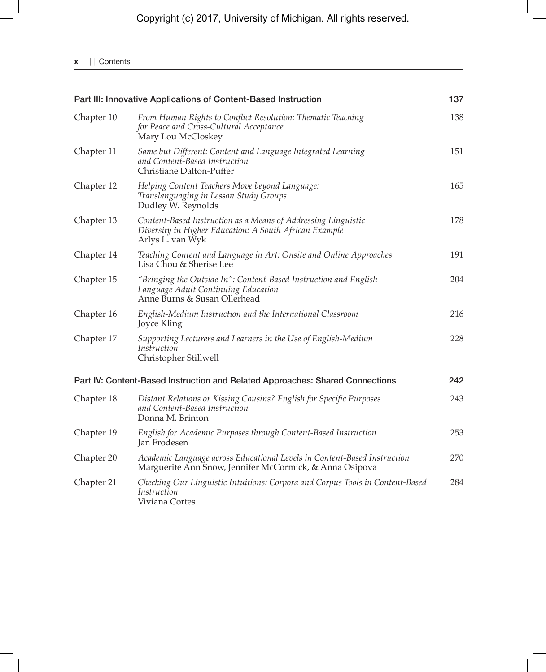## **x** | | | Contents

| Part III: Innovative Applications of Content-Based Instruction |                                                                                                                                             | 137 |
|----------------------------------------------------------------|---------------------------------------------------------------------------------------------------------------------------------------------|-----|
| Chapter 10                                                     | From Human Rights to Conflict Resolution: Thematic Teaching<br>for Peace and Cross-Cultural Acceptance<br>Mary Lou McCloskey                | 138 |
| Chapter 11                                                     | Same but Different: Content and Language Integrated Learning<br>and Content-Based Instruction<br>Christiane Dalton-Puffer                   | 151 |
| Chapter 12                                                     | Helping Content Teachers Move beyond Language:<br>Translanguaging in Lesson Study Groups<br>Dudley W. Reynolds                              | 165 |
| Chapter 13                                                     | Content-Based Instruction as a Means of Addressing Linguistic<br>Diversity in Higher Education: A South African Example<br>Arlys L. van Wyk | 178 |
| Chapter 14                                                     | Teaching Content and Language in Art: Onsite and Online Approaches<br>Lisa Chou & Sherise Lee                                               | 191 |
| Chapter 15                                                     | "Bringing the Outside In": Content-Based Instruction and English<br>Language Adult Continuing Education<br>Anne Burns & Susan Ollerhead     | 204 |
| Chapter 16                                                     | English-Medium Instruction and the International Classroom<br>Joyce Kling                                                                   | 216 |
| Chapter 17                                                     | Supporting Lecturers and Learners in the Use of English-Medium<br>Instruction<br>Christopher Stillwell                                      | 228 |
|                                                                | Part IV: Content-Based Instruction and Related Approaches: Shared Connections                                                               | 242 |
| Chapter 18                                                     | Distant Relations or Kissing Cousins? English for Specific Purposes<br>and Content-Based Instruction<br>Donna M. Brinton                    | 243 |
| Chapter 19                                                     | English for Academic Purposes through Content-Based Instruction<br>Jan Frodesen                                                             | 253 |
| Chapter 20                                                     | Academic Language across Educational Levels in Content-Based Instruction<br>Marguerite Ann Snow, Jennifer McCormick, & Anna Osipova         | 270 |
| Chapter 21                                                     | Checking Our Linguistic Intuitions: Corpora and Corpus Tools in Content-Based<br>Instruction<br>Viviana Cortes                              | 284 |